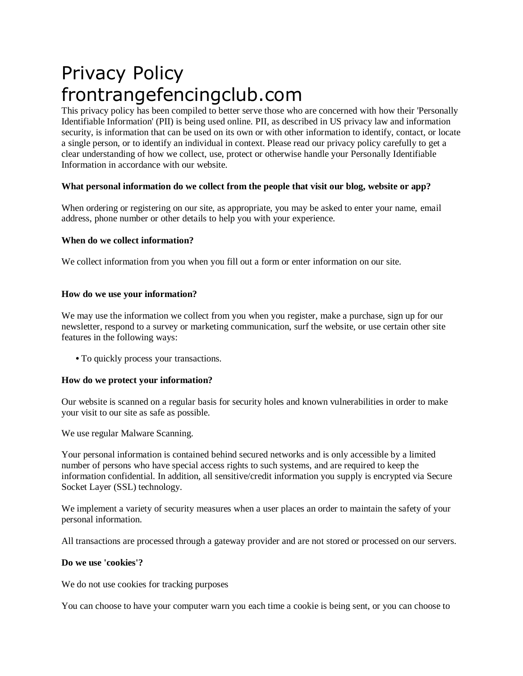# Privacy Policy frontrangefencingclub.com

This privacy policy has been compiled to better serve those who are concerned with how their 'Personally Identifiable Information' (PII) is being used online. PII, as described in US privacy law and information security, is information that can be used on its own or with other information to identify, contact, or locate a single person, or to identify an individual in context. Please read our privacy policy carefully to get a clear understanding of how we collect, use, protect or otherwise handle your Personally Identifiable Information in accordance with our website.

## **What personal information do we collect from the people that visit our blog, website or app?**

When ordering or registering on our site, as appropriate, you may be asked to enter your name, email address, phone number or other details to help you with your experience.

## **When do we collect information?**

We collect information from you when you fill out a form or enter information on our site.

## **How do we use your information?**

We may use the information we collect from you when you register, make a purchase, sign up for our newsletter, respond to a survey or marketing communication, surf the website, or use certain other site features in the following ways:

**•** To quickly process your transactions.

#### **How do we protect your information?**

Our website is scanned on a regular basis for security holes and known vulnerabilities in order to make your visit to our site as safe as possible.

We use regular Malware Scanning.

Your personal information is contained behind secured networks and is only accessible by a limited number of persons who have special access rights to such systems, and are required to keep the information confidential. In addition, all sensitive/credit information you supply is encrypted via Secure Socket Layer (SSL) technology.

We implement a variety of security measures when a user places an order to maintain the safety of your personal information.

All transactions are processed through a gateway provider and are not stored or processed on our servers.

#### **Do we use 'cookies'?**

We do not use cookies for tracking purposes

You can choose to have your computer warn you each time a cookie is being sent, or you can choose to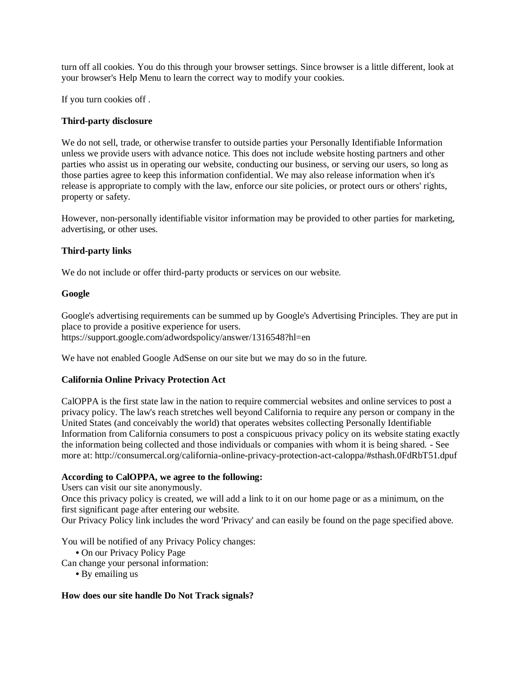turn off all cookies. You do this through your browser settings. Since browser is a little different, look at your browser's Help Menu to learn the correct way to modify your cookies.

If you turn cookies off .

## **Third-party disclosure**

We do not sell, trade, or otherwise transfer to outside parties your Personally Identifiable Information unless we provide users with advance notice. This does not include website hosting partners and other parties who assist us in operating our website, conducting our business, or serving our users, so long as those parties agree to keep this information confidential. We may also release information when it's release is appropriate to comply with the law, enforce our site policies, or protect ours or others' rights, property or safety.

However, non-personally identifiable visitor information may be provided to other parties for marketing, advertising, or other uses.

#### **Third-party links**

We do not include or offer third-party products or services on our website.

#### **Google**

Google's advertising requirements can be summed up by Google's Advertising Principles. They are put in place to provide a positive experience for users. https://support.google.com/adwordspolicy/answer/1316548?hl=en

We have not enabled Google AdSense on our site but we may do so in the future.

#### **California Online Privacy Protection Act**

CalOPPA is the first state law in the nation to require commercial websites and online services to post a privacy policy. The law's reach stretches well beyond California to require any person or company in the United States (and conceivably the world) that operates websites collecting Personally Identifiable Information from California consumers to post a conspicuous privacy policy on its website stating exactly the information being collected and those individuals or companies with whom it is being shared. - See more at: http://consumercal.org/california-online-privacy-protection-act-caloppa/#sthash.0FdRbT51.dpuf

#### **According to CalOPPA, we agree to the following:**

Users can visit our site anonymously.

Once this privacy policy is created, we will add a link to it on our home page or as a minimum, on the first significant page after entering our website.

Our Privacy Policy link includes the word 'Privacy' and can easily be found on the page specified above.

You will be notified of any Privacy Policy changes:

**•** On our Privacy Policy Page

Can change your personal information:

**•** By emailing us

#### **How does our site handle Do Not Track signals?**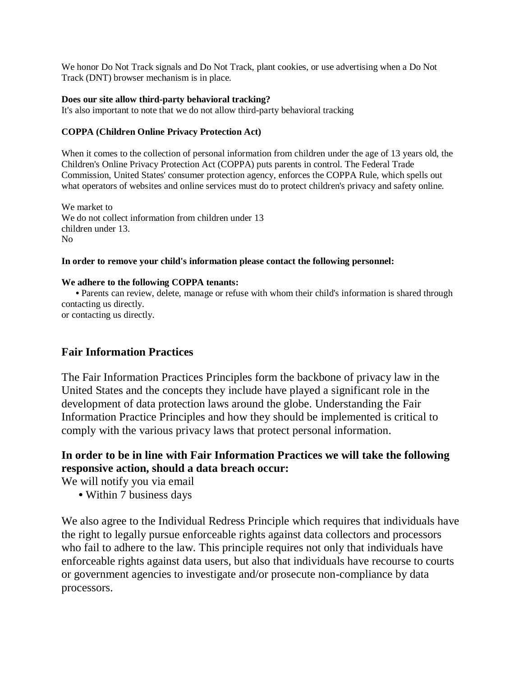We honor Do Not Track signals and Do Not Track, plant cookies, or use advertising when a Do Not Track (DNT) browser mechanism is in place.

## **Does our site allow third-party behavioral tracking?**

It's also important to note that we do not allow third-party behavioral tracking

## **COPPA (Children Online Privacy Protection Act)**

When it comes to the collection of personal information from children under the age of 13 years old, the Children's Online Privacy Protection Act (COPPA) puts parents in control. The Federal Trade Commission, United States' consumer protection agency, enforces the COPPA Rule, which spells out what operators of websites and online services must do to protect children's privacy and safety online.

We market to We do not collect information from children under 13 children under 13. No

## **In order to remove your child's information please contact the following personnel:**

#### **We adhere to the following COPPA tenants:**

 **•** Parents can review, delete, manage or refuse with whom their child's information is shared through contacting us directly.

or contacting us directly.

## **Fair Information Practices**

The Fair Information Practices Principles form the backbone of privacy law in the United States and the concepts they include have played a significant role in the development of data protection laws around the globe. Understanding the Fair Information Practice Principles and how they should be implemented is critical to comply with the various privacy laws that protect personal information.

# **In order to be in line with Fair Information Practices we will take the following responsive action, should a data breach occur:**

We will notify you via email

**•** Within 7 business days

We also agree to the Individual Redress Principle which requires that individuals have the right to legally pursue enforceable rights against data collectors and processors who fail to adhere to the law. This principle requires not only that individuals have enforceable rights against data users, but also that individuals have recourse to courts or government agencies to investigate and/or prosecute non-compliance by data processors.